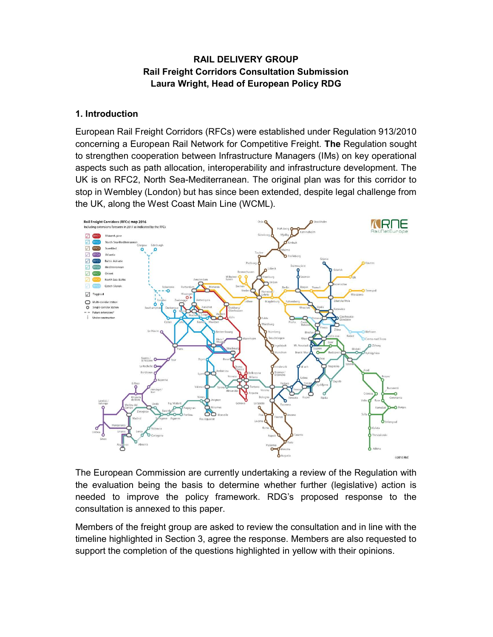# RAIL DELIVERY GROUP Rail Freight Corridors Consultation Submission Laura Wright, Head of European Policy RDG

#### 1. Introduction

European Rail Freight Corridors (RFCs) were established under Regulation 913/2010 concerning a European Rail Network for Competitive Freight. The Regulation sought to strengthen cooperation between Infrastructure Managers (IMs) on key operational aspects such as path allocation, interoperability and infrastructure development. The UK is on RFC2, North Sea-Mediterranean. The original plan was for this corridor to stop in Wembley (London) but has since been extended, despite legal challenge from the UK, along the West Coast Main Line (WCML).



The European Commission are currently undertaking a review of the Regulation with the evaluation being the basis to determine whether further (legislative) action is needed to improve the policy framework. RDG's proposed response to the consultation is annexed to this paper.

Members of the freight group are asked to review the consultation and in line with the timeline highlighted in Section 3, agree the response. Members are also requested to support the completion of the questions highlighted in yellow with their opinions.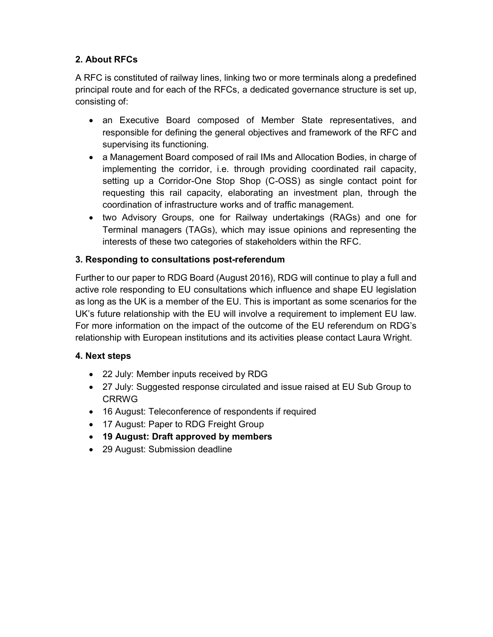# 2. About RFCs

A RFC is constituted of railway lines, linking two or more terminals along a predefined principal route and for each of the RFCs, a dedicated governance structure is set up, consisting of:

- an Executive Board composed of Member State representatives, and responsible for defining the general objectives and framework of the RFC and supervising its functioning.
- a Management Board composed of rail IMs and Allocation Bodies, in charge of implementing the corridor, i.e. through providing coordinated rail capacity, setting up a Corridor-One Stop Shop (C-OSS) as single contact point for requesting this rail capacity, elaborating an investment plan, through the coordination of infrastructure works and of traffic management.
- two Advisory Groups, one for Railway undertakings (RAGs) and one for Terminal managers (TAGs), which may issue opinions and representing the interests of these two categories of stakeholders within the RFC.

# 3. Responding to consultations post-referendum

Further to our paper to RDG Board (August 2016), RDG will continue to play a full and active role responding to EU consultations which influence and shape EU legislation as long as the UK is a member of the EU. This is important as some scenarios for the UK's future relationship with the EU will involve a requirement to implement EU law. For more information on the impact of the outcome of the EU referendum on RDG's relationship with European institutions and its activities please contact Laura Wright.

## 4. Next steps

- 22 July: Member inputs received by RDG
- 27 July: Suggested response circulated and issue raised at EU Sub Group to CRRWG
- 16 August: Teleconference of respondents if required
- 17 August: Paper to RDG Freight Group
- 19 August: Draft approved by members
- 29 August: Submission deadline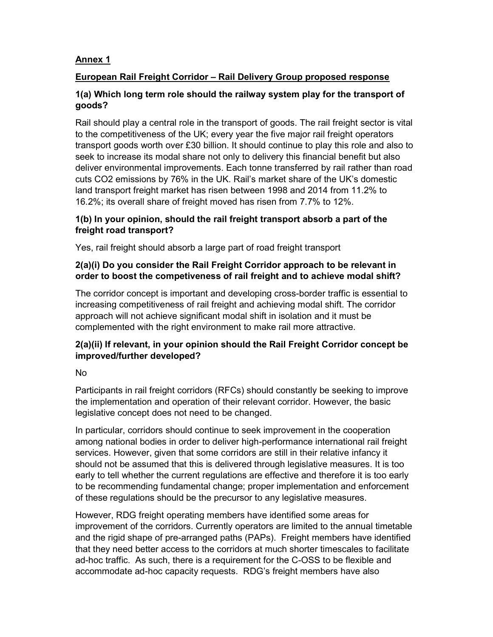# Annex 1

# European Rail Freight Corridor – Rail Delivery Group proposed response

## 1(a) Which long term role should the railway system play for the transport of goods?

Rail should play a central role in the transport of goods. The rail freight sector is vital to the competitiveness of the UK; every year the five major rail freight operators transport goods worth over £30 billion. It should continue to play this role and also to seek to increase its modal share not only to delivery this financial benefit but also deliver environmental improvements. Each tonne transferred by rail rather than road cuts CO2 emissions by 76% in the UK. Rail's market share of the UK's domestic land transport freight market has risen between 1998 and 2014 from 11.2% to 16.2%; its overall share of freight moved has risen from 7.7% to 12%.

# 1(b) In your opinion, should the rail freight transport absorb a part of the freight road transport?

Yes, rail freight should absorb a large part of road freight transport

## 2(a)(i) Do you consider the Rail Freight Corridor approach to be relevant in order to boost the competiveness of rail freight and to achieve modal shift?

The corridor concept is important and developing cross-border traffic is essential to increasing competitiveness of rail freight and achieving modal shift. The corridor approach will not achieve significant modal shift in isolation and it must be complemented with the right environment to make rail more attractive.

# 2(a)(ii) If relevant, in your opinion should the Rail Freight Corridor concept be improved/further developed?

## No

Participants in rail freight corridors (RFCs) should constantly be seeking to improve the implementation and operation of their relevant corridor. However, the basic legislative concept does not need to be changed.

In particular, corridors should continue to seek improvement in the cooperation among national bodies in order to deliver high-performance international rail freight services. However, given that some corridors are still in their relative infancy it should not be assumed that this is delivered through legislative measures. It is too early to tell whether the current regulations are effective and therefore it is too early to be recommending fundamental change; proper implementation and enforcement of these regulations should be the precursor to any legislative measures.

However, RDG freight operating members have identified some areas for improvement of the corridors. Currently operators are limited to the annual timetable and the rigid shape of pre-arranged paths (PAPs). Freight members have identified that they need better access to the corridors at much shorter timescales to facilitate ad-hoc traffic. As such, there is a requirement for the C-OSS to be flexible and accommodate ad-hoc capacity requests. RDG's freight members have also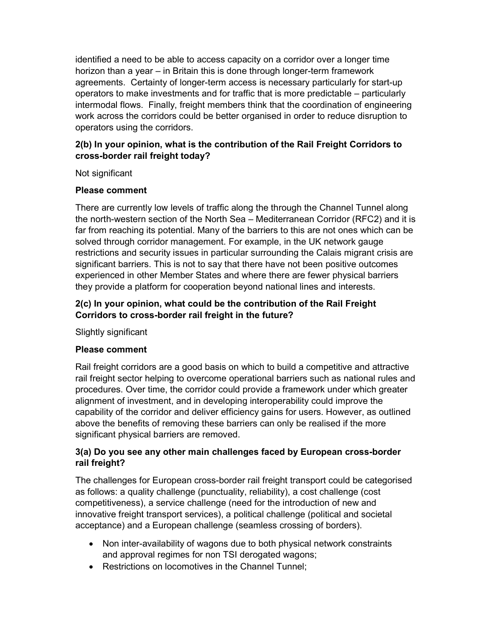identified a need to be able to access capacity on a corridor over a longer time horizon than a year – in Britain this is done through longer-term framework agreements. Certainty of longer-term access is necessary particularly for start-up operators to make investments and for traffic that is more predictable – particularly intermodal flows. Finally, freight members think that the coordination of engineering work across the corridors could be better organised in order to reduce disruption to operators using the corridors.

# 2(b) In your opinion, what is the contribution of the Rail Freight Corridors to cross-border rail freight today?

Not significant

## Please comment

There are currently low levels of traffic along the through the Channel Tunnel along the north-western section of the North Sea – Mediterranean Corridor (RFC2) and it is far from reaching its potential. Many of the barriers to this are not ones which can be solved through corridor management. For example, in the UK network gauge restrictions and security issues in particular surrounding the Calais migrant crisis are significant barriers. This is not to say that there have not been positive outcomes experienced in other Member States and where there are fewer physical barriers they provide a platform for cooperation beyond national lines and interests.

# 2(c) In your opinion, what could be the contribution of the Rail Freight Corridors to cross-border rail freight in the future?

Slightly significant

## Please comment

Rail freight corridors are a good basis on which to build a competitive and attractive rail freight sector helping to overcome operational barriers such as national rules and procedures. Over time, the corridor could provide a framework under which greater alignment of investment, and in developing interoperability could improve the capability of the corridor and deliver efficiency gains for users. However, as outlined above the benefits of removing these barriers can only be realised if the more significant physical barriers are removed.

# 3(a) Do you see any other main challenges faced by European cross-border rail freight?

The challenges for European cross-border rail freight transport could be categorised as follows: a quality challenge (punctuality, reliability), a cost challenge (cost competitiveness), a service challenge (need for the introduction of new and innovative freight transport services), a political challenge (political and societal acceptance) and a European challenge (seamless crossing of borders).

- Non inter-availability of wagons due to both physical network constraints and approval regimes for non TSI derogated wagons;
- Restrictions on locomotives in the Channel Tunnel;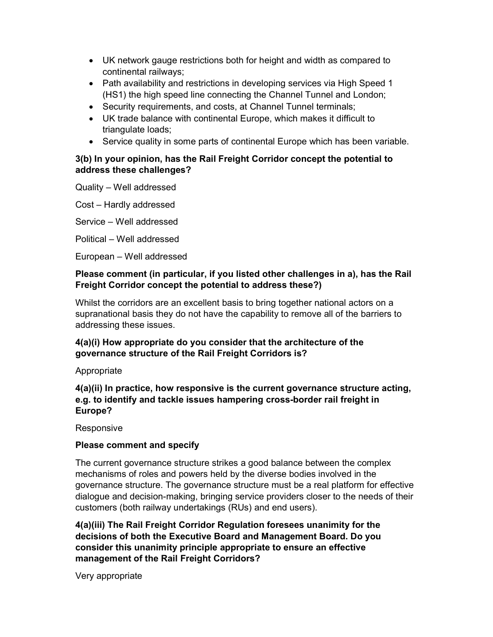- UK network gauge restrictions both for height and width as compared to continental railways;
- Path availability and restrictions in developing services via High Speed 1 (HS1) the high speed line connecting the Channel Tunnel and London;
- Security requirements, and costs, at Channel Tunnel terminals;
- UK trade balance with continental Europe, which makes it difficult to triangulate loads;
- Service quality in some parts of continental Europe which has been variable.

### 3(b) In your opinion, has the Rail Freight Corridor concept the potential to address these challenges?

Quality – Well addressed

Cost – Hardly addressed

Service – Well addressed

Political – Well addressed

European – Well addressed

### Please comment (in particular, if you listed other challenges in a), has the Rail Freight Corridor concept the potential to address these?)

Whilst the corridors are an excellent basis to bring together national actors on a supranational basis they do not have the capability to remove all of the barriers to addressing these issues.

## 4(a)(i) How appropriate do you consider that the architecture of the governance structure of the Rail Freight Corridors is?

Appropriate

## 4(a)(ii) In practice, how responsive is the current governance structure acting, e.g. to identify and tackle issues hampering cross-border rail freight in Europe?

Responsive

## Please comment and specify

The current governance structure strikes a good balance between the complex mechanisms of roles and powers held by the diverse bodies involved in the governance structure. The governance structure must be a real platform for effective dialogue and decision-making, bringing service providers closer to the needs of their customers (both railway undertakings (RUs) and end users).

4(a)(iii) The Rail Freight Corridor Regulation foresees unanimity for the decisions of both the Executive Board and Management Board. Do you consider this unanimity principle appropriate to ensure an effective management of the Rail Freight Corridors?

Very appropriate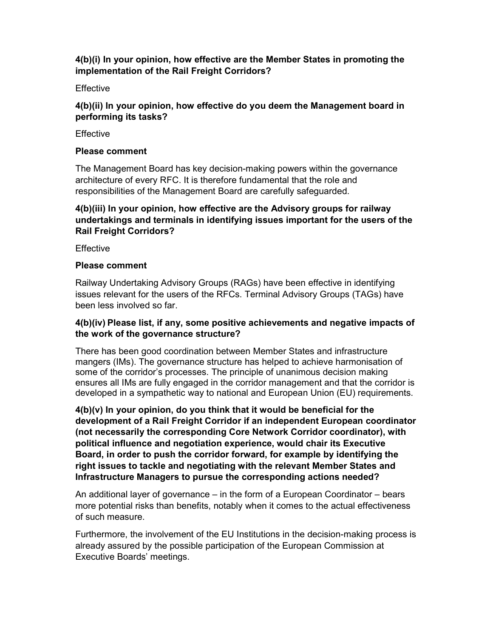### 4(b)(i) In your opinion, how effective are the Member States in promoting the implementation of the Rail Freight Corridors?

#### **Effective**

### 4(b)(ii) In your opinion, how effective do you deem the Management board in performing its tasks?

#### **Effective**

#### Please comment

The Management Board has key decision-making powers within the governance architecture of every RFC. It is therefore fundamental that the role and responsibilities of the Management Board are carefully safeguarded.

### 4(b)(iii) In your opinion, how effective are the Advisory groups for railway undertakings and terminals in identifying issues important for the users of the Rail Freight Corridors?

**Effective** 

#### Please comment

Railway Undertaking Advisory Groups (RAGs) have been effective in identifying issues relevant for the users of the RFCs. Terminal Advisory Groups (TAGs) have been less involved so far.

### 4(b)(iv) Please list, if any, some positive achievements and negative impacts of the work of the governance structure?

There has been good coordination between Member States and infrastructure mangers (IMs). The governance structure has helped to achieve harmonisation of some of the corridor's processes. The principle of unanimous decision making ensures all IMs are fully engaged in the corridor management and that the corridor is developed in a sympathetic way to national and European Union (EU) requirements.

4(b)(v) In your opinion, do you think that it would be beneficial for the development of a Rail Freight Corridor if an independent European coordinator (not necessarily the corresponding Core Network Corridor coordinator), with political influence and negotiation experience, would chair its Executive Board, in order to push the corridor forward, for example by identifying the right issues to tackle and negotiating with the relevant Member States and Infrastructure Managers to pursue the corresponding actions needed?

An additional layer of governance – in the form of a European Coordinator – bears more potential risks than benefits, notably when it comes to the actual effectiveness of such measure.

Furthermore, the involvement of the EU Institutions in the decision-making process is already assured by the possible participation of the European Commission at Executive Boards' meetings.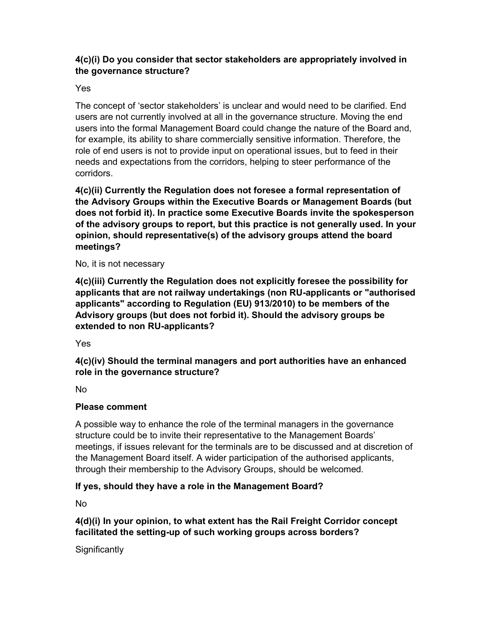# 4(c)(i) Do you consider that sector stakeholders are appropriately involved in the governance structure?

#### Yes

The concept of 'sector stakeholders' is unclear and would need to be clarified. End users are not currently involved at all in the governance structure. Moving the end users into the formal Management Board could change the nature of the Board and, for example, its ability to share commercially sensitive information. Therefore, the role of end users is not to provide input on operational issues, but to feed in their needs and expectations from the corridors, helping to steer performance of the corridors.

4(c)(ii) Currently the Regulation does not foresee a formal representation of the Advisory Groups within the Executive Boards or Management Boards (but does not forbid it). In practice some Executive Boards invite the spokesperson of the advisory groups to report, but this practice is not generally used. In your opinion, should representative(s) of the advisory groups attend the board meetings?

#### No, it is not necessary

4(c)(iii) Currently the Regulation does not explicitly foresee the possibility for applicants that are not railway undertakings (non RU-applicants or "authorised applicants" according to Regulation (EU) 913/2010) to be members of the Advisory groups (but does not forbid it). Should the advisory groups be extended to non RU-applicants?

Yes

4(c)(iv) Should the terminal managers and port authorities have an enhanced role in the governance structure?

No

## Please comment

A possible way to enhance the role of the terminal managers in the governance structure could be to invite their representative to the Management Boards' meetings, if issues relevant for the terminals are to be discussed and at discretion of the Management Board itself. A wider participation of the authorised applicants, through their membership to the Advisory Groups, should be welcomed.

## If yes, should they have a role in the Management Board?

No

## 4(d)(i) In your opinion, to what extent has the Rail Freight Corridor concept facilitated the setting-up of such working groups across borders?

**Significantly**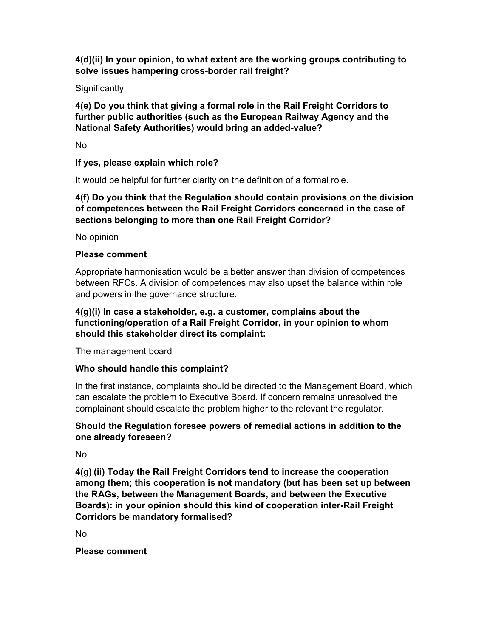4(d)(ii) In your opinion, to what extent are the working groups contributing to solve issues hampering cross-border rail freight?

### **Significantly**

4(e) Do you think that giving a formal role in the Rail Freight Corridors to further public authorities (such as the European Railway Agency and the National Safety Authorities) would bring an added-value?

No

#### If yes, please explain which role?

It would be helpful for further clarity on the definition of a formal role.

## 4(f) Do you think that the Regulation should contain provisions on the division of competences between the Rail Freight Corridors concerned in the case of sections belonging to more than one Rail Freight Corridor?

No opinion

#### Please comment

Appropriate harmonisation would be a better answer than division of competences between RFCs. A division of competences may also upset the balance within role and powers in the governance structure.

### 4(g)(i) In case a stakeholder, e.g. a customer, complains about the functioning/operation of a Rail Freight Corridor, in your opinion to whom should this stakeholder direct its complaint:

The management board

#### Who should handle this complaint?

In the first instance, complaints should be directed to the Management Board, which can escalate the problem to Executive Board. If concern remains unresolved the complainant should escalate the problem higher to the relevant the regulator.

### Should the Regulation foresee powers of remedial actions in addition to the one already foreseen?

No

4(g) (ii) Today the Rail Freight Corridors tend to increase the cooperation among them; this cooperation is not mandatory (but has been set up between the RAGs, between the Management Boards, and between the Executive Boards): in your opinion should this kind of cooperation inter-Rail Freight Corridors be mandatory formalised?

No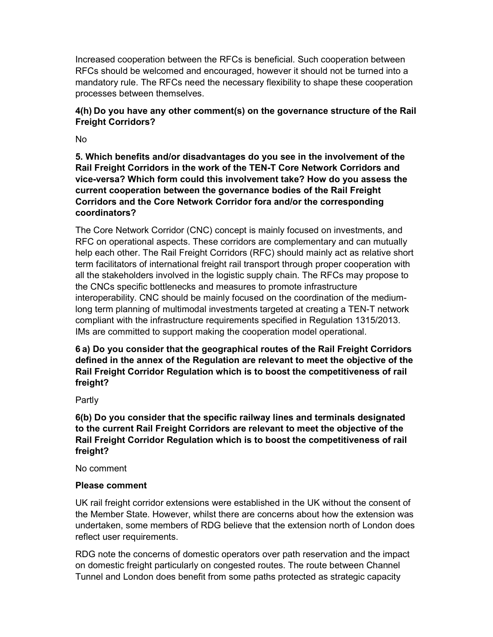Increased cooperation between the RFCs is beneficial. Such cooperation between RFCs should be welcomed and encouraged, however it should not be turned into a mandatory rule. The RFCs need the necessary flexibility to shape these cooperation processes between themselves.

### 4(h) Do you have any other comment(s) on the governance structure of the Rail Freight Corridors?

No

5. Which benefits and/or disadvantages do you see in the involvement of the Rail Freight Corridors in the work of the TEN-T Core Network Corridors and vice-versa? Which form could this involvement take? How do you assess the current cooperation between the governance bodies of the Rail Freight Corridors and the Core Network Corridor fora and/or the corresponding coordinators?

The Core Network Corridor (CNC) concept is mainly focused on investments, and RFC on operational aspects. These corridors are complementary and can mutually help each other. The Rail Freight Corridors (RFC) should mainly act as relative short term facilitators of international freight rail transport through proper cooperation with all the stakeholders involved in the logistic supply chain. The RFCs may propose to the CNCs specific bottlenecks and measures to promote infrastructure interoperability. CNC should be mainly focused on the coordination of the mediumlong term planning of multimodal investments targeted at creating a TEN-T network compliant with the infrastructure requirements specified in Regulation 1315/2013. IMs are committed to support making the cooperation model operational.

6 a) Do you consider that the geographical routes of the Rail Freight Corridors defined in the annex of the Regulation are relevant to meet the objective of the Rail Freight Corridor Regulation which is to boost the competitiveness of rail freight?

Partly

6(b) Do you consider that the specific railway lines and terminals designated to the current Rail Freight Corridors are relevant to meet the objective of the Rail Freight Corridor Regulation which is to boost the competitiveness of rail freight?

No comment

#### Please comment

UK rail freight corridor extensions were established in the UK without the consent of the Member State. However, whilst there are concerns about how the extension was undertaken, some members of RDG believe that the extension north of London does reflect user requirements.

RDG note the concerns of domestic operators over path reservation and the impact on domestic freight particularly on congested routes. The route between Channel Tunnel and London does benefit from some paths protected as strategic capacity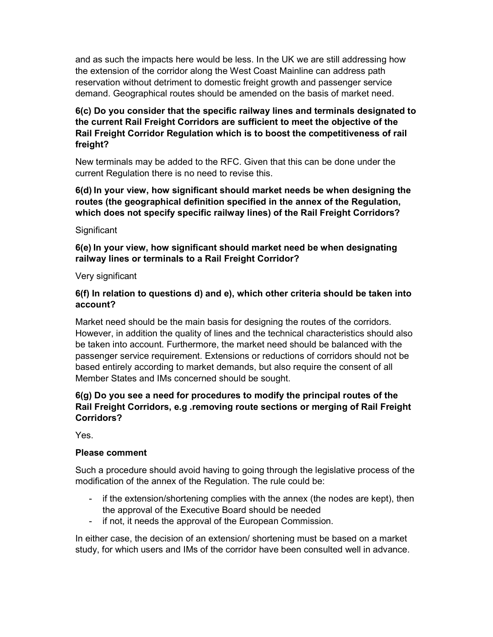and as such the impacts here would be less. In the UK we are still addressing how the extension of the corridor along the West Coast Mainline can address path reservation without detriment to domestic freight growth and passenger service demand. Geographical routes should be amended on the basis of market need.

## 6(c) Do you consider that the specific railway lines and terminals designated to the current Rail Freight Corridors are sufficient to meet the objective of the Rail Freight Corridor Regulation which is to boost the competitiveness of rail freight?

New terminals may be added to the RFC. Given that this can be done under the current Regulation there is no need to revise this.

6(d) In your view, how significant should market needs be when designing the routes (the geographical definition specified in the annex of the Regulation, which does not specify specific railway lines) of the Rail Freight Corridors?

#### **Significant**

### 6(e) In your view, how significant should market need be when designating railway lines or terminals to a Rail Freight Corridor?

#### Very significant

### 6(f) In relation to questions d) and e), which other criteria should be taken into account?

Market need should be the main basis for designing the routes of the corridors. However, in addition the quality of lines and the technical characteristics should also be taken into account. Furthermore, the market need should be balanced with the passenger service requirement. Extensions or reductions of corridors should not be based entirely according to market demands, but also require the consent of all Member States and IMs concerned should be sought.

### 6(g) Do you see a need for procedures to modify the principal routes of the Rail Freight Corridors, e.g .removing route sections or merging of Rail Freight Corridors?

Yes.

#### Please comment

Such a procedure should avoid having to going through the legislative process of the modification of the annex of the Regulation. The rule could be:

- if the extension/shortening complies with the annex (the nodes are kept), then the approval of the Executive Board should be needed
- if not, it needs the approval of the European Commission.

In either case, the decision of an extension/ shortening must be based on a market study, for which users and IMs of the corridor have been consulted well in advance.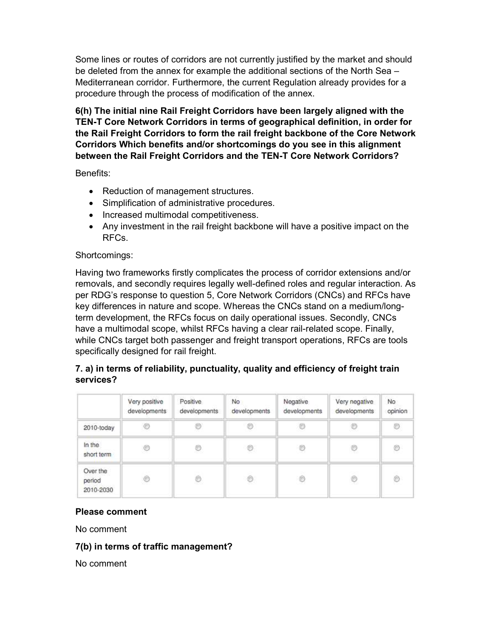Some lines or routes of corridors are not currently justified by the market and should be deleted from the annex for example the additional sections of the North Sea – Mediterranean corridor. Furthermore, the current Regulation already provides for a procedure through the process of modification of the annex.

6(h) The initial nine Rail Freight Corridors have been largely aligned with the TEN-T Core Network Corridors in terms of geographical definition, in order for the Rail Freight Corridors to form the rail freight backbone of the Core Network Corridors Which benefits and/or shortcomings do you see in this alignment between the Rail Freight Corridors and the TEN-T Core Network Corridors?

Benefits:

- Reduction of management structures.
- Simplification of administrative procedures.
- Increased multimodal competitiveness.
- Any investment in the rail freight backbone will have a positive impact on the RFCs.

#### Shortcomings:

Having two frameworks firstly complicates the process of corridor extensions and/or removals, and secondly requires legally well-defined roles and regular interaction. As per RDG's response to question 5, Core Network Corridors (CNCs) and RFCs have key differences in nature and scope. Whereas the CNCs stand on a medium/longterm development, the RFCs focus on daily operational issues. Secondly, CNCs have a multimodal scope, whilst RFCs having a clear rail-related scope. Finally, while CNCs target both passenger and freight transport operations, RFCs are tools specifically designed for rail freight.

# 7. a) in terms of reliability, punctuality, quality and efficiency of freight train services?

|                                 | Very positive<br>developments | Positive<br>developments | No<br>developments | Negative<br>developments | Very negative<br>developments | No<br>opinion |
|---------------------------------|-------------------------------|--------------------------|--------------------|--------------------------|-------------------------------|---------------|
| 2010-today                      | €                             |                          | 0                  | O                        |                               | 0             |
| In the<br>short term            | O                             | O                        | O                  | O                        | Ø                             | O             |
| Over the<br>period<br>2010-2030 | O                             | O                        | Õ                  | Ô                        | Ò                             | Ò             |

#### Please comment

No comment

### 7(b) in terms of traffic management?

No comment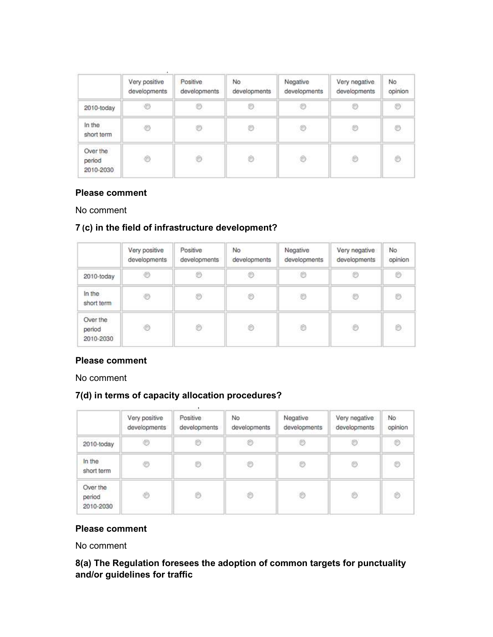|                                 | Very positive<br>developments | Positive<br>developments | No.<br>developments | Negative<br>developments | Very negative<br>developments | No<br>opinion |
|---------------------------------|-------------------------------|--------------------------|---------------------|--------------------------|-------------------------------|---------------|
| 2010-today                      | Ó                             | 0                        | Ø                   | $\circledcirc$           | 8                             | Ø             |
| In the<br>short term            | ◎                             | O                        | O                   | $\circledcirc$           | O                             | O             |
| Over the<br>period<br>2010-2030 | Ò                             | Ô                        | Ò                   | O                        | $_{\odot}$                    | O             |

### Please comment

No comment

# 7 (c) in the field of infrastructure development?

|                                 | Very positive<br>developments | Positive<br>developments | No<br>developments | Negative<br>developments | Very negative<br>developments | No<br>opinion |
|---------------------------------|-------------------------------|--------------------------|--------------------|--------------------------|-------------------------------|---------------|
| 2010-today                      | Ø                             | Ø                        | $\circledcirc$     | $\circledcirc$           | O                             | Ó             |
| In the<br>short term            | ۳                             | O                        | O                  | $\circledcirc$           | O                             | Ø             |
| Over the<br>period<br>2010-2030 | O                             | O                        | Ò                  | $\circledcirc$           | O                             | ð             |

### Please comment

No comment

# 7(d) in terms of capacity allocation procedures?

|                                 | Very positive<br>developments | Positive<br>developments | No<br>developments | Negative<br>developments | Very negative<br>developments | No.<br>opinion |
|---------------------------------|-------------------------------|--------------------------|--------------------|--------------------------|-------------------------------|----------------|
| 2010-today                      | O                             | Ó                        | Ò                  | O                        | Ø                             | $\circledcirc$ |
| In the<br>short term            | O                             | Ø                        | $\circledcirc$     | O                        | Ø                             | $\circledcirc$ |
| Over the<br>period<br>2010-2030 | Ó                             | ð                        | $^\circledR$       | $\circledcirc$           | Ò                             | O              |

# Please comment

No comment

8(a) The Regulation foresees the adoption of common targets for punctuality and/or guidelines for traffic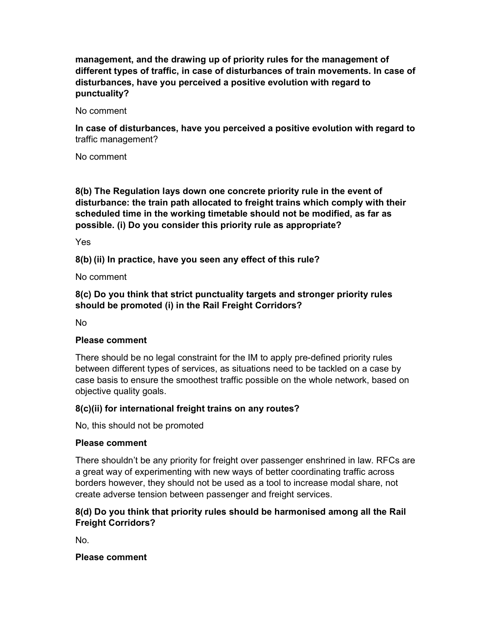management, and the drawing up of priority rules for the management of different types of traffic, in case of disturbances of train movements. In case of disturbances, have you perceived a positive evolution with regard to punctuality?

No comment

In case of disturbances, have you perceived a positive evolution with regard to traffic management?

No comment

8(b) The Regulation lays down one concrete priority rule in the event of disturbance: the train path allocated to freight trains which comply with their scheduled time in the working timetable should not be modified, as far as possible. (i) Do you consider this priority rule as appropriate?

Yes

8(b) (ii) In practice, have you seen any effect of this rule?

No comment

8(c) Do you think that strict punctuality targets and stronger priority rules should be promoted (i) in the Rail Freight Corridors?

No

#### Please comment

There should be no legal constraint for the IM to apply pre-defined priority rules between different types of services, as situations need to be tackled on a case by case basis to ensure the smoothest traffic possible on the whole network, based on objective quality goals.

#### 8(c)(ii) for international freight trains on any routes?

No, this should not be promoted

#### Please comment

There shouldn't be any priority for freight over passenger enshrined in law. RFCs are a great way of experimenting with new ways of better coordinating traffic across borders however, they should not be used as a tool to increase modal share, not create adverse tension between passenger and freight services.

### 8(d) Do you think that priority rules should be harmonised among all the Rail Freight Corridors?

No.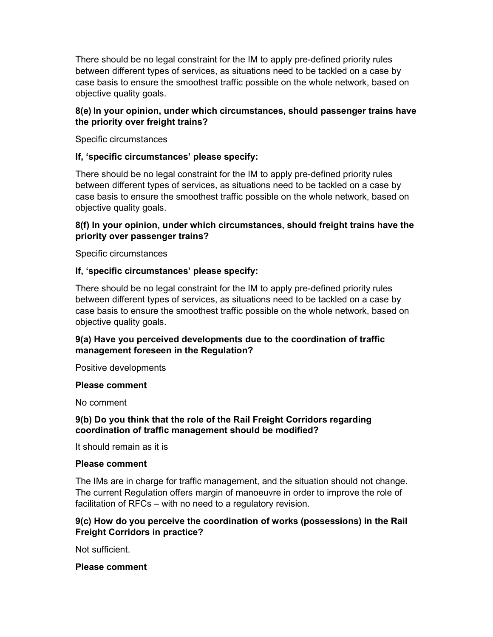There should be no legal constraint for the IM to apply pre-defined priority rules between different types of services, as situations need to be tackled on a case by case basis to ensure the smoothest traffic possible on the whole network, based on objective quality goals.

### 8(e) In your opinion, under which circumstances, should passenger trains have the priority over freight trains?

Specific circumstances

### If, 'specific circumstances' please specify:

There should be no legal constraint for the IM to apply pre-defined priority rules between different types of services, as situations need to be tackled on a case by case basis to ensure the smoothest traffic possible on the whole network, based on objective quality goals.

### 8(f) In your opinion, under which circumstances, should freight trains have the priority over passenger trains?

Specific circumstances

### If, 'specific circumstances' please specify:

There should be no legal constraint for the IM to apply pre-defined priority rules between different types of services, as situations need to be tackled on a case by case basis to ensure the smoothest traffic possible on the whole network, based on objective quality goals.

### 9(a) Have you perceived developments due to the coordination of traffic management foreseen in the Regulation?

Positive developments

#### Please comment

No comment

#### 9(b) Do you think that the role of the Rail Freight Corridors regarding coordination of traffic management should be modified?

It should remain as it is

#### Please comment

The IMs are in charge for traffic management, and the situation should not change. The current Regulation offers margin of manoeuvre in order to improve the role of facilitation of RFCs – with no need to a regulatory revision.

### 9(c) How do you perceive the coordination of works (possessions) in the Rail Freight Corridors in practice?

Not sufficient.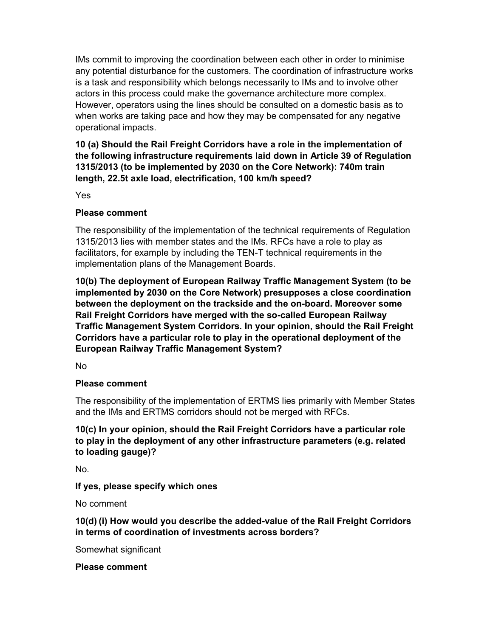IMs commit to improving the coordination between each other in order to minimise any potential disturbance for the customers. The coordination of infrastructure works is a task and responsibility which belongs necessarily to IMs and to involve other actors in this process could make the governance architecture more complex. However, operators using the lines should be consulted on a domestic basis as to when works are taking pace and how they may be compensated for any negative operational impacts.

10 (a) Should the Rail Freight Corridors have a role in the implementation of the following infrastructure requirements laid down in Article 39 of Regulation 1315/2013 (to be implemented by 2030 on the Core Network): 740m train length, 22.5t axle load, electrification, 100 km/h speed?

Yes

### Please comment

The responsibility of the implementation of the technical requirements of Regulation 1315/2013 lies with member states and the IMs. RFCs have a role to play as facilitators, for example by including the TEN-T technical requirements in the implementation plans of the Management Boards.

10(b) The deployment of European Railway Traffic Management System (to be implemented by 2030 on the Core Network) presupposes a close coordination between the deployment on the trackside and the on-board. Moreover some Rail Freight Corridors have merged with the so-called European Railway Traffic Management System Corridors. In your opinion, should the Rail Freight Corridors have a particular role to play in the operational deployment of the European Railway Traffic Management System?

No

## Please comment

The responsibility of the implementation of ERTMS lies primarily with Member States and the IMs and ERTMS corridors should not be merged with RFCs.

10(c) In your opinion, should the Rail Freight Corridors have a particular role to play in the deployment of any other infrastructure parameters (e.g. related to loading gauge)?

No.

If yes, please specify which ones

No comment

10(d) (i) How would you describe the added-value of the Rail Freight Corridors in terms of coordination of investments across borders?

Somewhat significant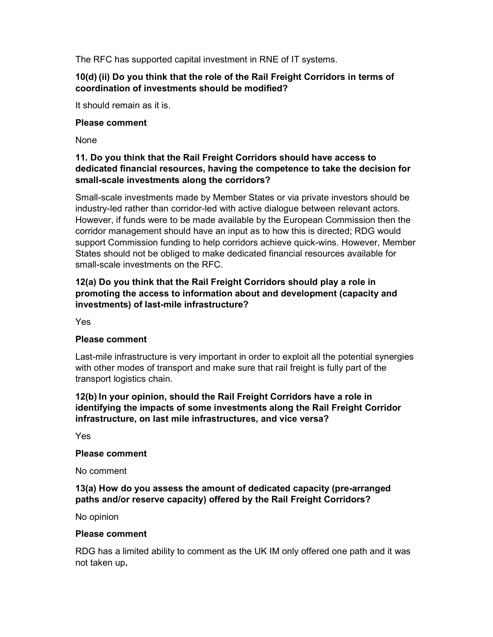The RFC has supported capital investment in RNE of IT systems.

### 10(d) (ii) Do you think that the role of the Rail Freight Corridors in terms of coordination of investments should be modified?

It should remain as it is.

#### Please comment

None

## 11. Do you think that the Rail Freight Corridors should have access to dedicated financial resources, having the competence to take the decision for small-scale investments along the corridors?

Small-scale investments made by Member States or via private investors should be industry-led rather than corridor-led with active dialogue between relevant actors. However, if funds were to be made available by the European Commission then the corridor management should have an input as to how this is directed; RDG would support Commission funding to help corridors achieve quick-wins. However, Member States should not be obliged to make dedicated financial resources available for small-scale investments on the RFC.

## 12(a) Do you think that the Rail Freight Corridors should play a role in promoting the access to information about and development (capacity and investments) of last-mile infrastructure?

Yes

#### Please comment

Last-mile infrastructure is very important in order to exploit all the potential synergies with other modes of transport and make sure that rail freight is fully part of the transport logistics chain.

12(b) In your opinion, should the Rail Freight Corridors have a role in identifying the impacts of some investments along the Rail Freight Corridor infrastructure, on last mile infrastructures, and vice versa?

Yes

#### Please comment

No comment

### 13(a) How do you assess the amount of dedicated capacity (pre-arranged paths and/or reserve capacity) offered by the Rail Freight Corridors?

No opinion

#### Please comment

RDG has a limited ability to comment as the UK IM only offered one path and it was not taken up.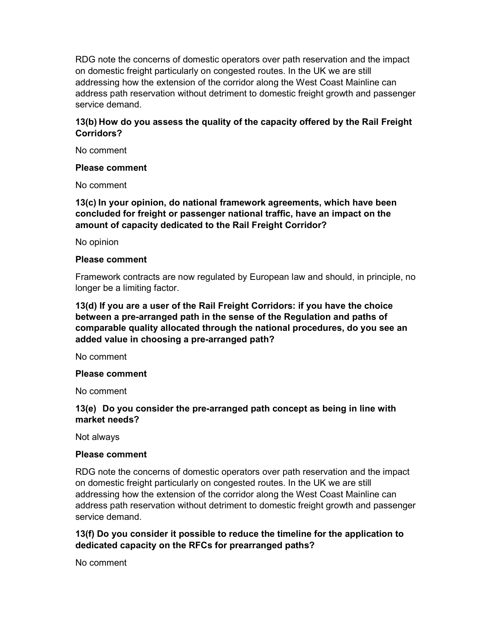RDG note the concerns of domestic operators over path reservation and the impact on domestic freight particularly on congested routes. In the UK we are still addressing how the extension of the corridor along the West Coast Mainline can address path reservation without detriment to domestic freight growth and passenger service demand.

### 13(b) How do you assess the quality of the capacity offered by the Rail Freight Corridors?

No comment

#### Please comment

No comment

13(c) In your opinion, do national framework agreements, which have been concluded for freight or passenger national traffic, have an impact on the amount of capacity dedicated to the Rail Freight Corridor?

No opinion

#### Please comment

Framework contracts are now regulated by European law and should, in principle, no longer be a limiting factor.

13(d) If you are a user of the Rail Freight Corridors: if you have the choice between a pre-arranged path in the sense of the Regulation and paths of comparable quality allocated through the national procedures, do you see an added value in choosing a pre-arranged path?

No comment

#### Please comment

No comment

#### 13(e) Do you consider the pre-arranged path concept as being in line with market needs?

Not always

#### Please comment

RDG note the concerns of domestic operators over path reservation and the impact on domestic freight particularly on congested routes. In the UK we are still addressing how the extension of the corridor along the West Coast Mainline can address path reservation without detriment to domestic freight growth and passenger service demand.

#### 13(f) Do you consider it possible to reduce the timeline for the application to dedicated capacity on the RFCs for prearranged paths?

No comment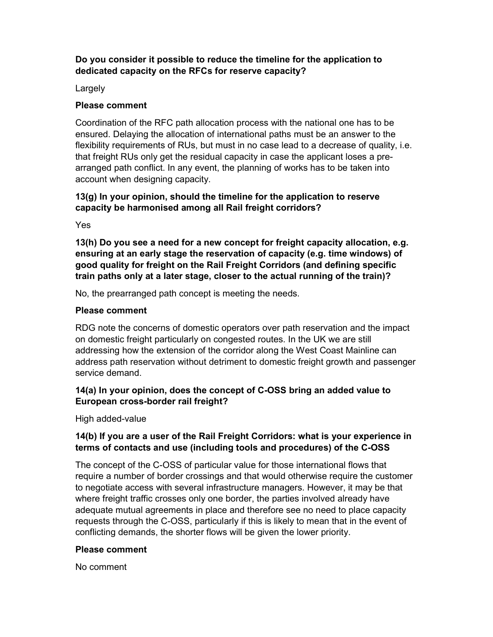## Do you consider it possible to reduce the timeline for the application to dedicated capacity on the RFCs for reserve capacity?

Largely

### Please comment

Coordination of the RFC path allocation process with the national one has to be ensured. Delaying the allocation of international paths must be an answer to the flexibility requirements of RUs, but must in no case lead to a decrease of quality, i.e. that freight RUs only get the residual capacity in case the applicant loses a prearranged path conflict. In any event, the planning of works has to be taken into account when designing capacity.

# 13(g) In your opinion, should the timeline for the application to reserve capacity be harmonised among all Rail freight corridors?

Yes

13(h) Do you see a need for a new concept for freight capacity allocation, e.g. ensuring at an early stage the reservation of capacity (e.g. time windows) of good quality for freight on the Rail Freight Corridors (and defining specific train paths only at a later stage, closer to the actual running of the train)?

No, the prearranged path concept is meeting the needs.

### Please comment

RDG note the concerns of domestic operators over path reservation and the impact on domestic freight particularly on congested routes. In the UK we are still addressing how the extension of the corridor along the West Coast Mainline can address path reservation without detriment to domestic freight growth and passenger service demand.

## 14(a) In your opinion, does the concept of C-OSS bring an added value to European cross-border rail freight?

High added-value

## 14(b) If you are a user of the Rail Freight Corridors: what is your experience in terms of contacts and use (including tools and procedures) of the C-OSS

The concept of the C-OSS of particular value for those international flows that require a number of border crossings and that would otherwise require the customer to negotiate access with several infrastructure managers. However, it may be that where freight traffic crosses only one border, the parties involved already have adequate mutual agreements in place and therefore see no need to place capacity requests through the C-OSS, particularly if this is likely to mean that in the event of conflicting demands, the shorter flows will be given the lower priority.

#### Please comment

No comment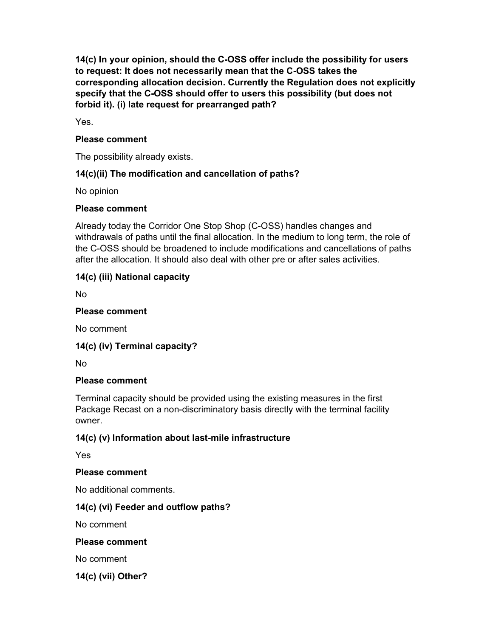14(c) In your opinion, should the C-OSS offer include the possibility for users to request: It does not necessarily mean that the C-OSS takes the corresponding allocation decision. Currently the Regulation does not explicitly specify that the C-OSS should offer to users this possibility (but does not forbid it). (i) late request for prearranged path?

Yes.

### Please comment

The possibility already exists.

## 14(c)(ii) The modification and cancellation of paths?

No opinion

## Please comment

Already today the Corridor One Stop Shop (C-OSS) handles changes and withdrawals of paths until the final allocation. In the medium to long term, the role of the C-OSS should be broadened to include modifications and cancellations of paths after the allocation. It should also deal with other pre or after sales activities.

# 14(c) (iii) National capacity

No

### Please comment

No comment

## 14(c) (iv) Terminal capacity?

No

## Please comment

Terminal capacity should be provided using the existing measures in the first Package Recast on a non-discriminatory basis directly with the terminal facility owner.

## 14(c) (v) Information about last-mile infrastructure

Yes

#### Please comment

No additional comments.

## 14(c) (vi) Feeder and outflow paths?

No comment

#### Please comment

No comment

14(c) (vii) Other?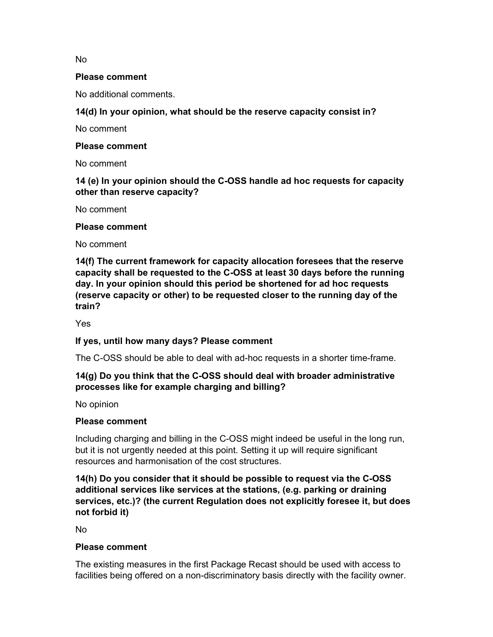No

#### Please comment

No additional comments.

### 14(d) In your opinion, what should be the reserve capacity consist in?

No comment

#### Please comment

No comment

### 14 (e) In your opinion should the C-OSS handle ad hoc requests for capacity other than reserve capacity?

No comment

#### Please comment

No comment

14(f) The current framework for capacity allocation foresees that the reserve capacity shall be requested to the C-OSS at least 30 days before the running day. In your opinion should this period be shortened for ad hoc requests (reserve capacity or other) to be requested closer to the running day of the train?

Yes

#### If yes, until how many days? Please comment

The C-OSS should be able to deal with ad-hoc requests in a shorter time-frame.

### 14(g) Do you think that the C-OSS should deal with broader administrative processes like for example charging and billing?

No opinion

#### Please comment

Including charging and billing in the C-OSS might indeed be useful in the long run, but it is not urgently needed at this point. Setting it up will require significant resources and harmonisation of the cost structures.

14(h) Do you consider that it should be possible to request via the C-OSS additional services like services at the stations, (e.g. parking or draining services, etc.)? (the current Regulation does not explicitly foresee it, but does not forbid it)

No

#### Please comment

The existing measures in the first Package Recast should be used with access to facilities being offered on a non-discriminatory basis directly with the facility owner.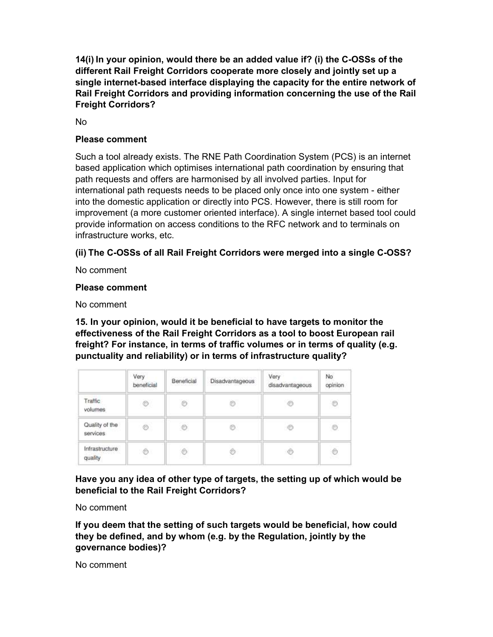14(i) In your opinion, would there be an added value if? (i) the C-OSSs of the different Rail Freight Corridors cooperate more closely and jointly set up a single internet-based interface displaying the capacity for the entire network of Rail Freight Corridors and providing information concerning the use of the Rail Freight Corridors?

No

### Please comment

Such a tool already exists. The RNE Path Coordination System (PCS) is an internet based application which optimises international path coordination by ensuring that path requests and offers are harmonised by all involved parties. Input for international path requests needs to be placed only once into one system - either into the domestic application or directly into PCS. However, there is still room for improvement (a more customer oriented interface). A single internet based tool could provide information on access conditions to the RFC network and to terminals on infrastructure works, etc.

# (ii) The C-OSSs of all Rail Freight Corridors were merged into a single C-OSS?

No comment

### Please comment

No comment

15. In your opinion, would it be beneficial to have targets to monitor the effectiveness of the Rail Freight Corridors as a tool to boost European rail freight? For instance, in terms of traffic volumes or in terms of quality (e.g. punctuality and reliability) or in terms of infrastructure quality?

|                            | Very<br>beneficial | Beneficial | Disadvantageous | Very<br>disadvantageous | No.<br>opinion |
|----------------------------|--------------------|------------|-----------------|-------------------------|----------------|
| Traffic<br>volumes         | $\circledcirc$     | Ò          | Ò               | $\circ$                 | $\circ$        |
| Quality of the<br>services | o                  | O          | Ð               | ¢                       | O              |
| Infrastructure<br>quality  | $^{\circ}$         | O          | ⊚               | C                       | $^{\circ}$     |

Have you any idea of other type of targets, the setting up of which would be beneficial to the Rail Freight Corridors?

No comment

If you deem that the setting of such targets would be beneficial, how could they be defined, and by whom (e.g. by the Regulation, jointly by the governance bodies)?

No comment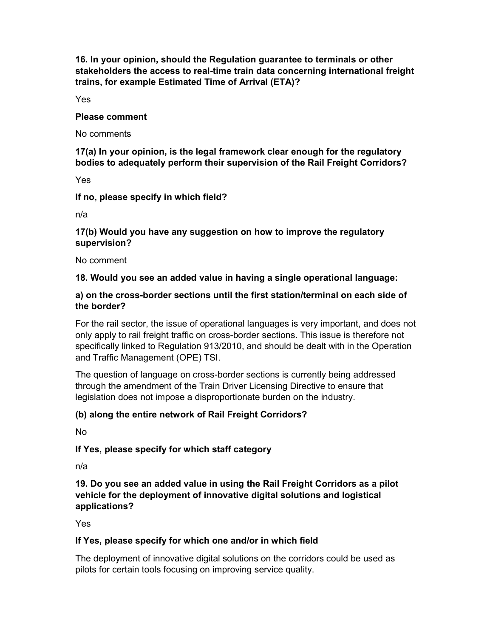16. In your opinion, should the Regulation guarantee to terminals or other stakeholders the access to real-time train data concerning international freight trains, for example Estimated Time of Arrival (ETA)?

Yes

#### Please comment

No comments

17(a) In your opinion, is the legal framework clear enough for the regulatory bodies to adequately perform their supervision of the Rail Freight Corridors?

Yes

If no, please specify in which field?

n/a

### 17(b) Would you have any suggestion on how to improve the regulatory supervision?

No comment

# 18. Would you see an added value in having a single operational language:

### a) on the cross-border sections until the first station/terminal on each side of the border?

For the rail sector, the issue of operational languages is very important, and does not only apply to rail freight traffic on cross-border sections. This issue is therefore not specifically linked to Regulation 913/2010, and should be dealt with in the Operation and Traffic Management (OPE) TSI.

The question of language on cross-border sections is currently being addressed through the amendment of the Train Driver Licensing Directive to ensure that legislation does not impose a disproportionate burden on the industry.

## (b) along the entire network of Rail Freight Corridors?

No

If Yes, please specify for which staff category

n/a

## 19. Do you see an added value in using the Rail Freight Corridors as a pilot vehicle for the deployment of innovative digital solutions and logistical applications?

Yes

## If Yes, please specify for which one and/or in which field

The deployment of innovative digital solutions on the corridors could be used as pilots for certain tools focusing on improving service quality.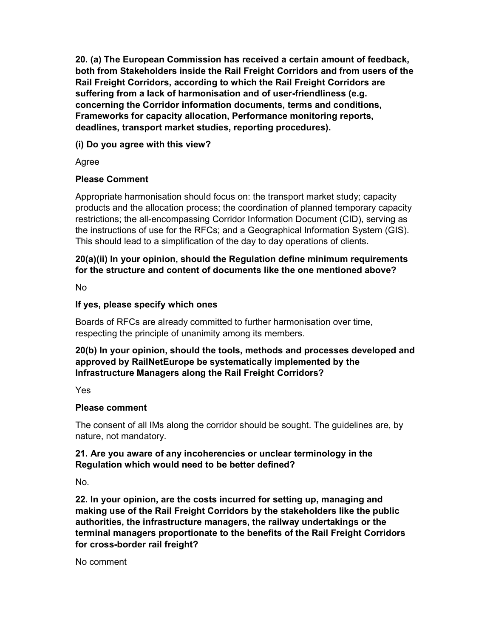20. (a) The European Commission has received a certain amount of feedback, both from Stakeholders inside the Rail Freight Corridors and from users of the Rail Freight Corridors, according to which the Rail Freight Corridors are suffering from a lack of harmonisation and of user-friendliness (e.g. concerning the Corridor information documents, terms and conditions, Frameworks for capacity allocation, Performance monitoring reports, deadlines, transport market studies, reporting procedures).

## (i) Do you agree with this view?

Agree

## Please Comment

Appropriate harmonisation should focus on: the transport market study; capacity products and the allocation process; the coordination of planned temporary capacity restrictions; the all-encompassing Corridor Information Document (CID), serving as the instructions of use for the RFCs; and a Geographical Information System (GIS). This should lead to a simplification of the day to day operations of clients.

# 20(a)(ii) In your opinion, should the Regulation define minimum requirements for the structure and content of documents like the one mentioned above?

No

## If yes, please specify which ones

Boards of RFCs are already committed to further harmonisation over time, respecting the principle of unanimity among its members.

# 20(b) In your opinion, should the tools, methods and processes developed and approved by RailNetEurope be systematically implemented by the Infrastructure Managers along the Rail Freight Corridors?

Yes

## Please comment

The consent of all IMs along the corridor should be sought. The guidelines are, by nature, not mandatory.

## 21. Are you aware of any incoherencies or unclear terminology in the Regulation which would need to be better defined?

No.

22. In your opinion, are the costs incurred for setting up, managing and making use of the Rail Freight Corridors by the stakeholders like the public authorities, the infrastructure managers, the railway undertakings or the terminal managers proportionate to the benefits of the Rail Freight Corridors for cross-border rail freight?

No comment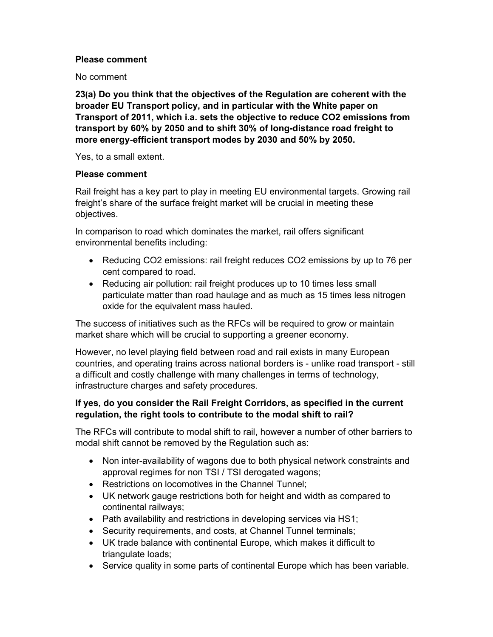### Please comment

No comment

23(a) Do you think that the objectives of the Regulation are coherent with the broader EU Transport policy, and in particular with the White paper on Transport of 2011, which i.a. sets the objective to reduce CO2 emissions from transport by 60% by 2050 and to shift 30% of long-distance road freight to more energy-efficient transport modes by 2030 and 50% by 2050.

Yes, to a small extent.

#### Please comment

Rail freight has a key part to play in meeting EU environmental targets. Growing rail freight's share of the surface freight market will be crucial in meeting these objectives.

In comparison to road which dominates the market, rail offers significant environmental benefits including:

- Reducing CO2 emissions: rail freight reduces CO2 emissions by up to 76 per cent compared to road.
- Reducing air pollution: rail freight produces up to 10 times less small particulate matter than road haulage and as much as 15 times less nitrogen oxide for the equivalent mass hauled.

The success of initiatives such as the RFCs will be required to grow or maintain market share which will be crucial to supporting a greener economy.

However, no level playing field between road and rail exists in many European countries, and operating trains across national borders is - unlike road transport - still a difficult and costly challenge with many challenges in terms of technology, infrastructure charges and safety procedures.

### If yes, do you consider the Rail Freight Corridors, as specified in the current regulation, the right tools to contribute to the modal shift to rail?

The RFCs will contribute to modal shift to rail, however a number of other barriers to modal shift cannot be removed by the Regulation such as:

- Non inter-availability of wagons due to both physical network constraints and approval regimes for non TSI / TSI derogated wagons;
- Restrictions on locomotives in the Channel Tunnel;
- UK network gauge restrictions both for height and width as compared to continental railways;
- Path availability and restrictions in developing services via HS1;
- Security requirements, and costs, at Channel Tunnel terminals;
- UK trade balance with continental Europe, which makes it difficult to triangulate loads;
- Service quality in some parts of continental Europe which has been variable.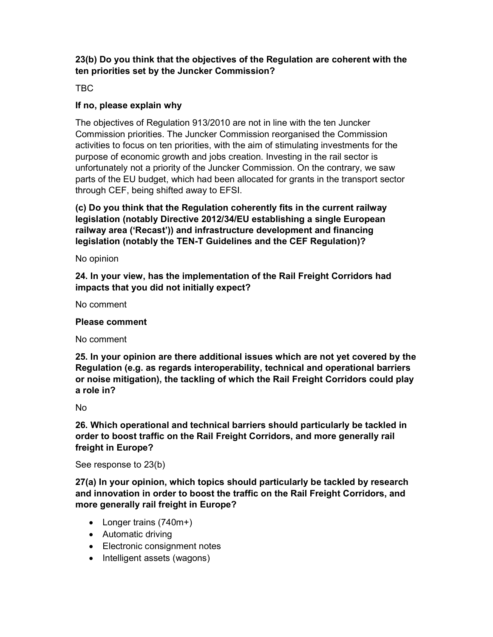## 23(b) Do you think that the objectives of the Regulation are coherent with the ten priorities set by the Juncker Commission?

TBC

## If no, please explain why

The objectives of Regulation 913/2010 are not in line with the ten Juncker Commission priorities. The Juncker Commission reorganised the Commission activities to focus on ten priorities, with the aim of stimulating investments for the purpose of economic growth and jobs creation. Investing in the rail sector is unfortunately not a priority of the Juncker Commission. On the contrary, we saw parts of the EU budget, which had been allocated for grants in the transport sector through CEF, being shifted away to EFSI.

(c) Do you think that the Regulation coherently fits in the current railway legislation (notably Directive 2012/34/EU establishing a single European railway area ('Recast')) and infrastructure development and financing legislation (notably the TEN-T Guidelines and the CEF Regulation)?

No opinion

24. In your view, has the implementation of the Rail Freight Corridors had impacts that you did not initially expect?

No comment

### Please comment

No comment

25. In your opinion are there additional issues which are not yet covered by the Regulation (e.g. as regards interoperability, technical and operational barriers or noise mitigation), the tackling of which the Rail Freight Corridors could play a role in?

No

26. Which operational and technical barriers should particularly be tackled in order to boost traffic on the Rail Freight Corridors, and more generally rail freight in Europe?

See response to 23(b)

27(a) In your opinion, which topics should particularly be tackled by research and innovation in order to boost the traffic on the Rail Freight Corridors, and more generally rail freight in Europe?

- Longer trains (740m+)
- Automatic driving
- Electronic consignment notes
- Intelligent assets (wagons)